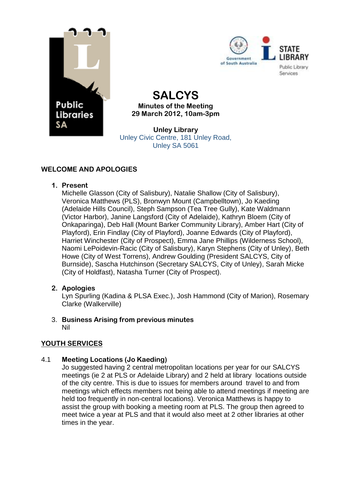



**SALCYS Minutes of the Meeting 29 March 2012, 10am-3pm**

**Unley Library** Unley Civic Centre, 181 Unley Road, Unley SA 5061

# **WELCOME AND APOLOGIES**

# **1. Present**

Michelle Glasson (City of Salisbury), Natalie Shallow (City of Salisbury), Veronica Matthews (PLS), Bronwyn Mount (Campbelltown), Jo Kaeding (Adelaide Hills Council), Steph Sampson (Tea Tree Gully), Kate Waldmann (Victor Harbor), Janine Langsford (City of Adelaide), Kathryn Bloem (City of Onkaparinga), Deb Hall (Mount Barker Community Library), Amber Hart (City of Playford), Erin Findlay (City of Playford), Joanne Edwards (City of Playford), Harriet Winchester (City of Prospect), Emma Jane Phillips (Wilderness School), Naomi LePoidevin-Racic (City of Salisbury), Karyn Stephens (City of Unley), Beth Howe (City of West Torrens), Andrew Goulding (President SALCYS, City of Burnside), Sascha Hutchinson (Secretary SALCYS, City of Unley), Sarah Micke (City of Holdfast), Natasha Turner (City of Prospect).

#### **2. Apologies**

Lyn Spurling (Kadina & PLSA Exec.), Josh Hammond (City of Marion), Rosemary Clarke (Walkerville)

3. **Business Arising from previous minutes** Nil

# **YOUTH SERVICES**

#### 4.1 **Meeting Locations (Jo Kaeding)**

Jo suggested having 2 central metropolitan locations per year for our SALCYS meetings (ie 2 at PLS or Adelaide Library) and 2 held at library locations outside of the city centre. This is due to issues for members around travel to and from meetings which effects members not being able to attend meetings if meeting are held too frequently in non-central locations). Veronica Matthews is happy to assist the group with booking a meeting room at PLS. The group then agreed to meet twice a year at PLS and that it would also meet at 2 other libraries at other times in the year.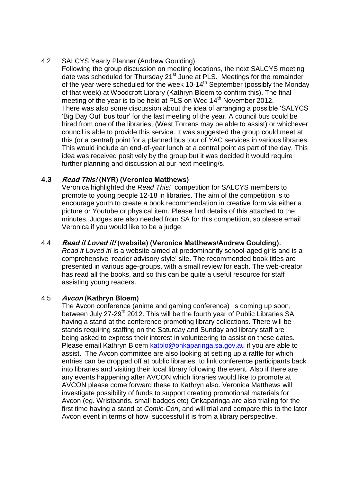## 4.2 SALCYS Yearly Planner (Andrew Goulding)

Following the group discussion on meeting locations, the next SALCYS meeting date was scheduled for Thursday 21<sup>st</sup> June at PLS. Meetings for the remainder of the year were scheduled for the week 10-14<sup>th</sup> September (possibly the Monday of that week) at Woodcroft Library (Kathryn Bloem to confirm this). The final meeting of the year is to be held at PLS on Wed  $14<sup>th</sup>$  November 2012. There was also some discussion about the idea of arranging a possible 'SALYCS 'Big Day Out' bus tour' for the last meeting of the year. A council bus could be hired from one of the libraries, (West Torrens may be able to assist) or whichever council is able to provide this service. It was suggested the group could meet at this (or a central) point for a planned bus tour of YAC services in various libraries. This would include an end-of-year lunch at a central point as part of the day. This idea was received positively by the group but it was decided it would require further planning and discussion at our next meeting/s.

# **4.3 Read This! (NYR) (Veronica Matthews)**

Veronica highlighted the *Read This!* competition for SALCYS members to promote to young people 12-18 in libraries. The aim of the competition is to encourage youth to create a book recommendation in creative form via either a picture or Youtube or physical item. Please find details of this attached to the minutes. Judges are also needed from SA for this competition, so please email Veronica if you would like to be a judge.

# 4.4 **Read it Loved it! (website) (Veronica Matthews/Andrew Goulding).**

*Read it Loved it!* is a website aimed at predominantly school-aged girls and is a comprehensive 'reader advisory style' site. The recommended book titles are presented in various age-groups, with a small review for each. The web-creator has read all the books, and so this can be quite a useful resource for staff assisting young readers.

#### 4.5 **Avcon (Kathryn Bloem)**

The Avcon conference (anime and gaming conference) is coming up soon, between July 27-29<sup>th</sup> 2012. This will be the fourth year of Public Libraries SA having a stand at the conference promoting library collections. There will be stands requiring staffing on the Saturday and Sunday and library staff are being asked to express their interest in volunteering to assist on these dates. Please email Kathryn Bloem [katblo@onkaparinga.sa.gov.au](mailto:katblo@onkaparinga.sa.gov.au) if you are able to assist. The Avcon committee are also looking at setting up a raffle for which entries can be dropped off at public libraries, to link conference participants back into libraries and visiting their local library following the event. Also if there are any events happening after AVCON which libraries would like to promote at AVCON please come forward these to Kathryn also. Veronica Matthews will investigate possibility of funds to support creating promotional materials for Avcon (eg. Wristbands, small badges etc) Onkaparinga are also trialing for the first time having a stand at *Comic-Con*, and will trial and compare this to the later Avcon event in terms of how successful it is from a library perspective.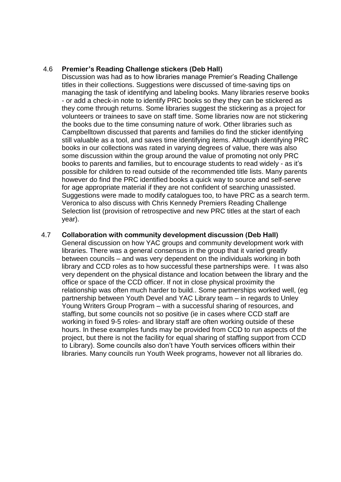## 4.6 **Premier's Reading Challenge stickers (Deb Hall)**

Discussion was had as to how libraries manage Premier's Reading Challenge titles in their collections. Suggestions were discussed of time-saving tips on managing the task of identifying and labeling books. Many libraries reserve books - or add a check-in note to identify PRC books so they they can be stickered as they come through returns. Some libraries suggest the stickering as a project for volunteers or trainees to save on staff time. Some libraries now are not stickering the books due to the time consuming nature of work. Other libraries such as Campbelltown discussed that parents and families do find the sticker identifying still valuable as a tool, and saves time identifying items. Although identifying PRC books in our collections was rated in varying degrees of value, there was also some discussion within the group around the value of promoting not only PRC books to parents and families, but to encourage students to read widely - as it's possible for children to read outside of the recommended title lists. Many parents however do find the PRC identified books a quick way to source and self-serve for age appropriate material if they are not confident of searching unassisted. Suggestions were made to modify catalogues too, to have PRC as a search term. Veronica to also discuss with Chris Kennedy Premiers Reading Challenge Selection list (provision of retrospective and new PRC titles at the start of each year).

# 4.7 **Collaboration with community development discussion (Deb Hall)**

General discussion on how YAC groups and community development work with libraries. There was a general consensus in the group that it varied greatly between councils – and was very dependent on the individuals working in both library and CCD roles as to how successful these partnerships were. I t was also very dependent on the physical distance and location between the library and the office or space of the CCD officer. If not in close physical proximity the relationship was often much harder to build.. Some partnerships worked well, (eg partnership between Youth Devel and YAC Library team – in regards to Unley Young Writers Group Program – with a successful sharing of resources, and staffing, but some councils not so positive (ie in cases where CCD staff are working in fixed 9-5 roles- and library staff are often working outside of these hours. In these examples funds may be provided from CCD to run aspects of the project, but there is not the facility for equal sharing of staffing support from CCD to Library). Some councils also don't have Youth services officers within their libraries. Many councils run Youth Week programs, however not all libraries do.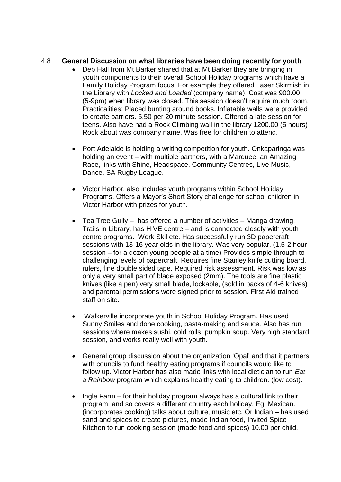#### 4.8 **General Discussion on what libraries have been doing recently for youth**

- Deb Hall from Mt Barker shared that at Mt Barker they are bringing in youth components to their overall School Holiday programs which have a Family Holiday Program focus. For example they offered Laser Skirmish in the Library with *Locked and Loaded* (company name). Cost was 900.00 (5-9pm) when library was closed. This session doesn't require much room. Practicalities: Placed bunting around books. Inflatable walls were provided to create barriers. 5.50 per 20 minute session. Offered a late session for teens. Also have had a Rock Climbing wall in the library 1200.00 (5 hours) Rock about was company name. Was free for children to attend.
- Port Adelaide is holding a writing competition for youth. Onkaparinga was holding an event – with multiple partners, with a Marquee, an Amazing Race, links with Shine, Headspace, Community Centres, Live Music, Dance, SA Rugby League.
- Victor Harbor, also includes youth programs within School Holiday Programs. Offers a Mayor's Short Story challenge for school children in Victor Harbor with prizes for youth.
- Tea Tree Gully has offered a number of activities Manga drawing, Trails in Library, has HIVE centre – and is connected closely with youth centre programs. Work Skil etc. Has successfully run 3D papercraft sessions with 13-16 year olds in the library. Was very popular. (1.5-2 hour session – for a dozen young people at a time) Provides simple through to challenging levels of papercraft. Requires fine Stanley knife cutting board, rulers, fine double sided tape. Required risk assessment. Risk was low as only a very small part of blade exposed (2mm). The tools are fine plastic knives (like a pen) very small blade, lockable, (sold in packs of 4-6 knives) and parental permissions were signed prior to session. First Aid trained staff on site.
- Walkerville incorporate youth in School Holiday Program. Has used Sunny Smiles and done cooking, pasta-making and sauce. Also has run sessions where makes sushi, cold rolls, pumpkin soup. Very high standard session, and works really well with youth.
- General group discussion about the organization 'Opal' and that it partners with councils to fund healthy eating programs if councils would like to follow up. Victor Harbor has also made links with local dietician to run *Eat a Rainbow* program which explains healthy eating to children. (low cost).
- $\bullet$  Ingle Farm for their holiday program always has a cultural link to their program, and so covers a different country each holiday. Eg. Mexican. (incorporates cooking) talks about culture, music etc. Or Indian – has used sand and spices to create pictures, made Indian food, Invited Spice Kitchen to run cooking session (made food and spices) 10.00 per child.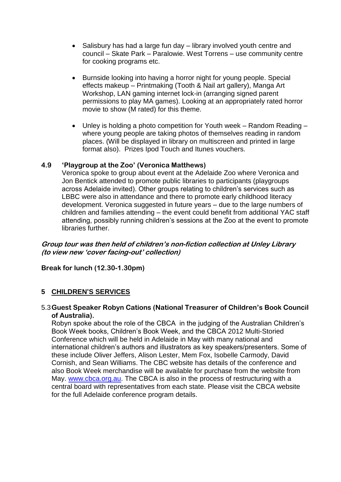- Salisbury has had a large fun day library involved youth centre and council – Skate Park – Paralowie. West Torrens – use community centre for cooking programs etc.
- Burnside looking into having a horror night for young people. Special effects makeup – Printmaking (Tooth & Nail art gallery), Manga Art Workshop, LAN gaming internet lock-in (arranging signed parent permissions to play MA games). Looking at an appropriately rated horror movie to show (M rated) for this theme.
- Unley is holding a photo competition for Youth week Random Reading where young people are taking photos of themselves reading in random places. (Will be displayed in library on multiscreen and printed in large format also). Prizes Ipod Touch and Itunes vouchers.

# **4.9 'Playgroup at the Zoo' (Veronica Matthews)**

Veronica spoke to group about event at the Adelaide Zoo where Veronica and Jon Bentick attended to promote public libraries to participants (playgroups across Adelaide invited). Other groups relating to children's services such as LBBC were also in attendance and there to promote early childhood literacy development. Veronica suggested in future years – due to the large numbers of children and families attending – the event could benefit from additional YAC staff attending, possibly running children's sessions at the Zoo at the event to promote libraries further.

# **Group tour was then held of children's non-fiction collection at Unley Library (to view new 'cover facing-out' collection)**

**Break for lunch (12.30-1.30pm)**

# **5 CHILDREN'S SERVICES**

#### 5.3**Guest Speaker Robyn Cations (National Treasurer of Children's Book Council of Australia).**

Robyn spoke about the role of the CBCA in the judging of the Australian Children's Book Week books, Children's Book Week, and the CBCA 2012 Multi-Storied Conference which will be held in Adelaide in May with many national and international children's authors and illustrators as key speakers/presenters. Some of these include Oliver Jeffers, Alison Lester, Mem Fox, Isobelle Carmody, David Cornish, and Sean Williams. The CBC website has details of the conference and also Book Week merchandise will be available for purchase from the website from May. [www.cbca.org.au.](http://www.cbca.org.au/) The CBCA is also in the process of restructuring with a central board with representatives from each state. Please visit the CBCA website for the full Adelaide conference program details.